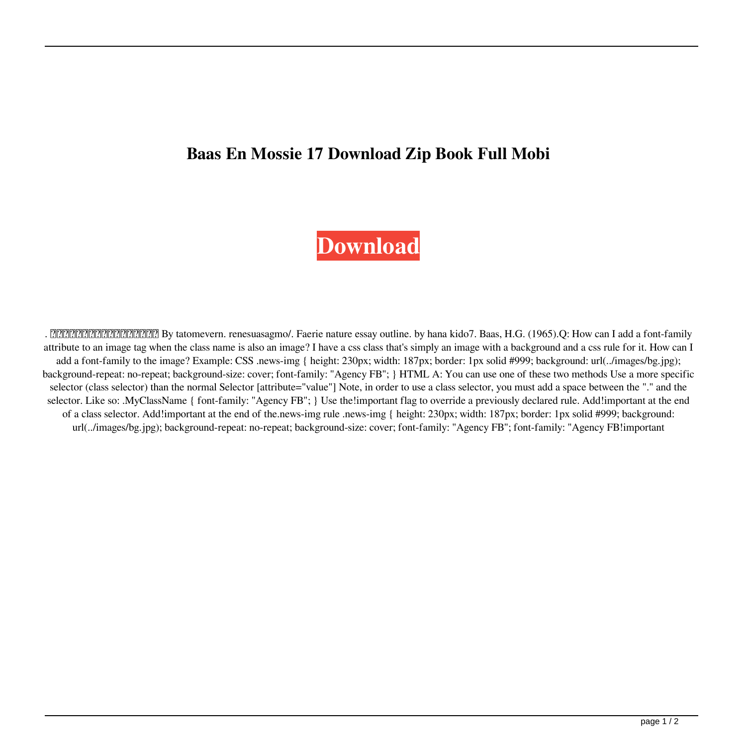## **Baas En Mossie 17 Download Zip Book Full Mobi**

## **[Download](http://evacdir.com/YmFhcyBlbiBtb3NzaWUgcGRmIDE3YmF.swum/dashratha.echopraxia?marauders=spop&ZG93bmxvYWR8dXk4YXpsc2ZId3hOalV5TnpRd09EWTJmSHd5TlRjMGZId29UU2tnY21WaFpDMWliRzluSUZ0R1lYTjBJRWRGVGww=plonk)**

. <u>[2000][2000][2000][2000]</u> By tatomevern. renesuasagmo/. Faerie nature essay outline. by hana kido7. Baas, H.G. (1965).Q: How can I add a font-family attribute to an image tag when the class name is also an image? I have a css class that's simply an image with a background and a css rule for it. How can I add a font-family to the image? Example: CSS .news-img { height: 230px; width: 187px; border: 1px solid #999; background: url(../images/bg.jpg); background-repeat: no-repeat; background-size: cover; font-family: "Agency FB"; } HTML A: You can use one of these two methods Use a more specific selector (class selector) than the normal Selector [attribute="value"] Note, in order to use a class selector, you must add a space between the "." and the selector. Like so: .MyClassName { font-family: "Agency FB"; } Use the!important flag to override a previously declared rule. Add!important at the end of a class selector. Add!important at the end of the.news-img rule .news-img { height: 230px; width: 187px; border: 1px solid #999; background: url(../images/bg.jpg); background-repeat: no-repeat; background-size: cover; font-family: "Agency FB"; font-family: "Agency FB!important